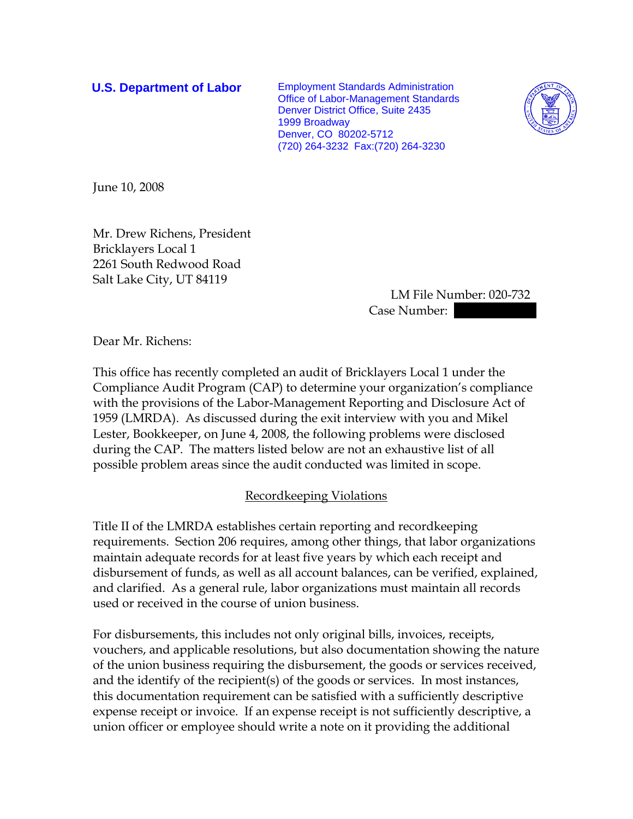**U.S. Department of Labor** Employment Standards Administration Office of Labor-Management Standards Denver District Office, Suite 2435 1999 Broadway Denver, CO 80202-5712 (720) 264-3232 Fax:(720) 264-3230



June 10, 2008

Mr. Drew Richens, President Bricklayers Local 1 2261 South Redwood Road Salt Lake City, UT 84119

> LM File Number: 020-732 Case Number: ||

Dear Mr. Richens:

This office has recently completed an audit of Bricklayers Local 1 under the Compliance Audit Program (CAP) to determine your organization's compliance with the provisions of the Labor-Management Reporting and Disclosure Act of 1959 (LMRDA). As discussed during the exit interview with you and Mikel Lester, Bookkeeper, on June 4, 2008, the following problems were disclosed during the CAP. The matters listed below are not an exhaustive list of all possible problem areas since the audit conducted was limited in scope.

## Recordkeeping Violations

Title II of the LMRDA establishes certain reporting and recordkeeping requirements. Section 206 requires, among other things, that labor organizations maintain adequate records for at least five years by which each receipt and disbursement of funds, as well as all account balances, can be verified, explained, and clarified. As a general rule, labor organizations must maintain all records used or received in the course of union business.

For disbursements, this includes not only original bills, invoices, receipts, vouchers, and applicable resolutions, but also documentation showing the nature of the union business requiring the disbursement, the goods or services received, and the identify of the recipient(s) of the goods or services. In most instances, this documentation requirement can be satisfied with a sufficiently descriptive expense receipt or invoice. If an expense receipt is not sufficiently descriptive, a union officer or employee should write a note on it providing the additional